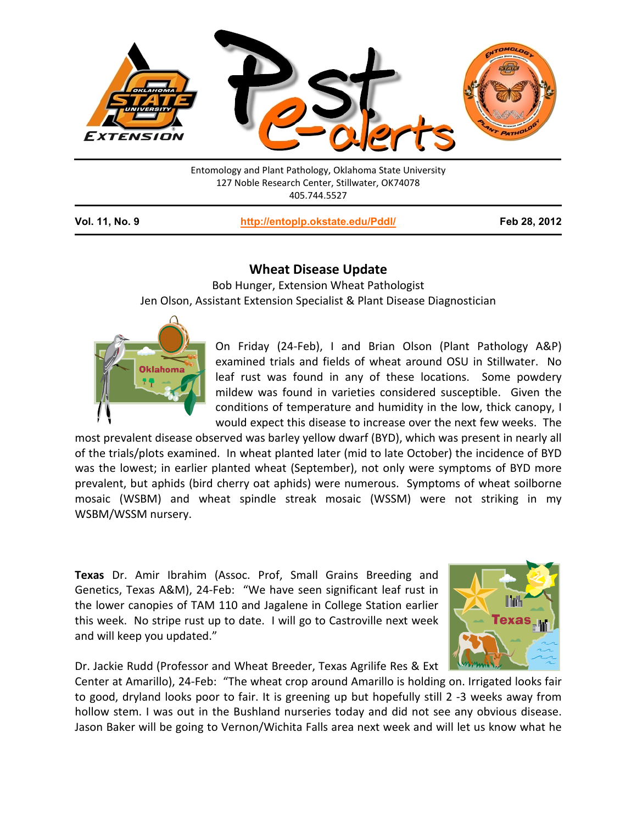

Entomology and Plant Pathology, Oklahoma State University 127 Noble Research Center, Stillwater, OK74078 405.744.5527

**Vol. 11, No. 9 <http://entoplp.okstate.edu/Pddl/> Feb 28, 2012**

## **Wheat Disease Update**

Bob Hunger, Extension Wheat Pathologist Jen Olson, Assistant Extension Specialist & Plant Disease Diagnostician



On Friday (24-Feb), I and Brian Olson (Plant Pathology A&P) examined trials and fields of wheat around OSU in Stillwater. No leaf rust was found in any of these locations. Some powdery mildew was found in varieties considered susceptible. Given the conditions of temperature and humidity in the low, thick canopy, I would expect this disease to increase over the next few weeks. The

most prevalent disease observed was barley yellow dwarf (BYD), which was present in nearly all of the trials/plots examined. In wheat planted later (mid to late October) the incidence of BYD was the lowest; in earlier planted wheat (September), not only were symptoms of BYD more prevalent, but aphids (bird cherry oat aphids) were numerous. Symptoms of wheat soilborne mosaic (WSBM) and wheat spindle streak mosaic (WSSM) were not striking in my WSBM/WSSM nursery.

**Texas** Dr. Amir Ibrahim (Assoc. Prof, Small Grains Breeding and Genetics, Texas A&M), 24-Feb: "We have seen significant leaf rust in the lower canopies of TAM 110 and Jagalene in College Station earlier this week. No stripe rust up to date. I will go to Castroville next week and will keep you updated."



Dr. Jackie Rudd (Professor and Wheat Breeder, Texas Agrilife Res & Ext

Center at Amarillo), 24-Feb: "The wheat crop around Amarillo is holding on. Irrigated looks fair to good, dryland looks poor to fair. It is greening up but hopefully still 2 -3 weeks away from hollow stem. I was out in the Bushland nurseries today and did not see any obvious disease. Jason Baker will be going to Vernon/Wichita Falls area next week and will let us know what he